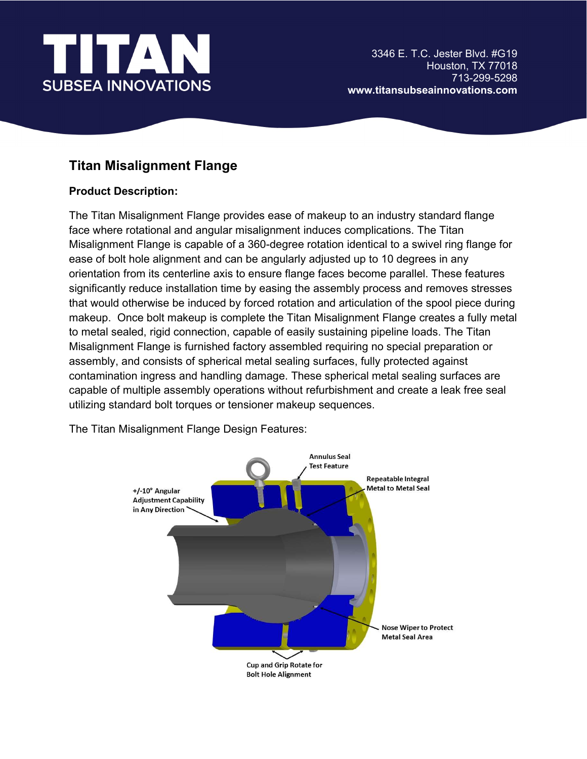

## Titan Misalignment Flange

## Product Description:

The Titan Misalignment Flange provides ease of makeup to an industry standard flange face where rotational and angular misalignment induces complications. The Titan Misalignment Flange is capable of a 360-degree rotation identical to a swivel ring flange for ease of bolt hole alignment and can be angularly adjusted up to 10 degrees in any orientation from its centerline axis to ensure flange faces become parallel. These features significantly reduce installation time by easing the assembly process and removes stresses that would otherwise be induced by forced rotation and articulation of the spool piece during makeup. Once bolt makeup is complete the Titan Misalignment Flange creates a fully metal to metal sealed, rigid connection, capable of easily sustaining pipeline loads. The Titan Misalignment Flange is furnished factory assembled requiring no special preparation or assembly, and consists of spherical metal sealing surfaces, fully protected against contamination ingress and handling damage. These spherical metal sealing surfaces are capable of multiple assembly operations without refurbishment and create a leak free seal utilizing standard bolt torques or tensioner makeup sequences.

The Titan Misalignment Flange Design Features: